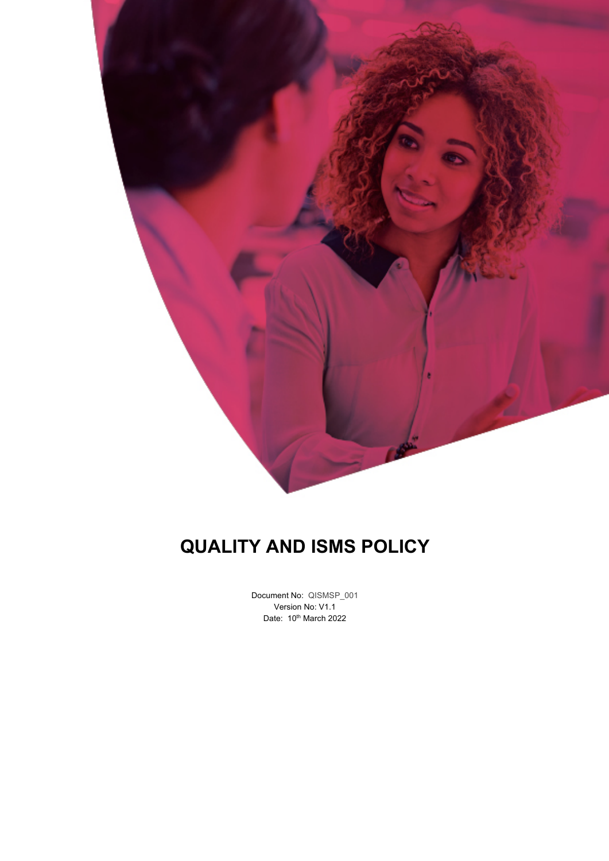

## **QUALITY AND ISMS POLICY**

Document No: QISMSP\_001 Version No: V1.1 Date: 10<sup>th</sup> March 2022